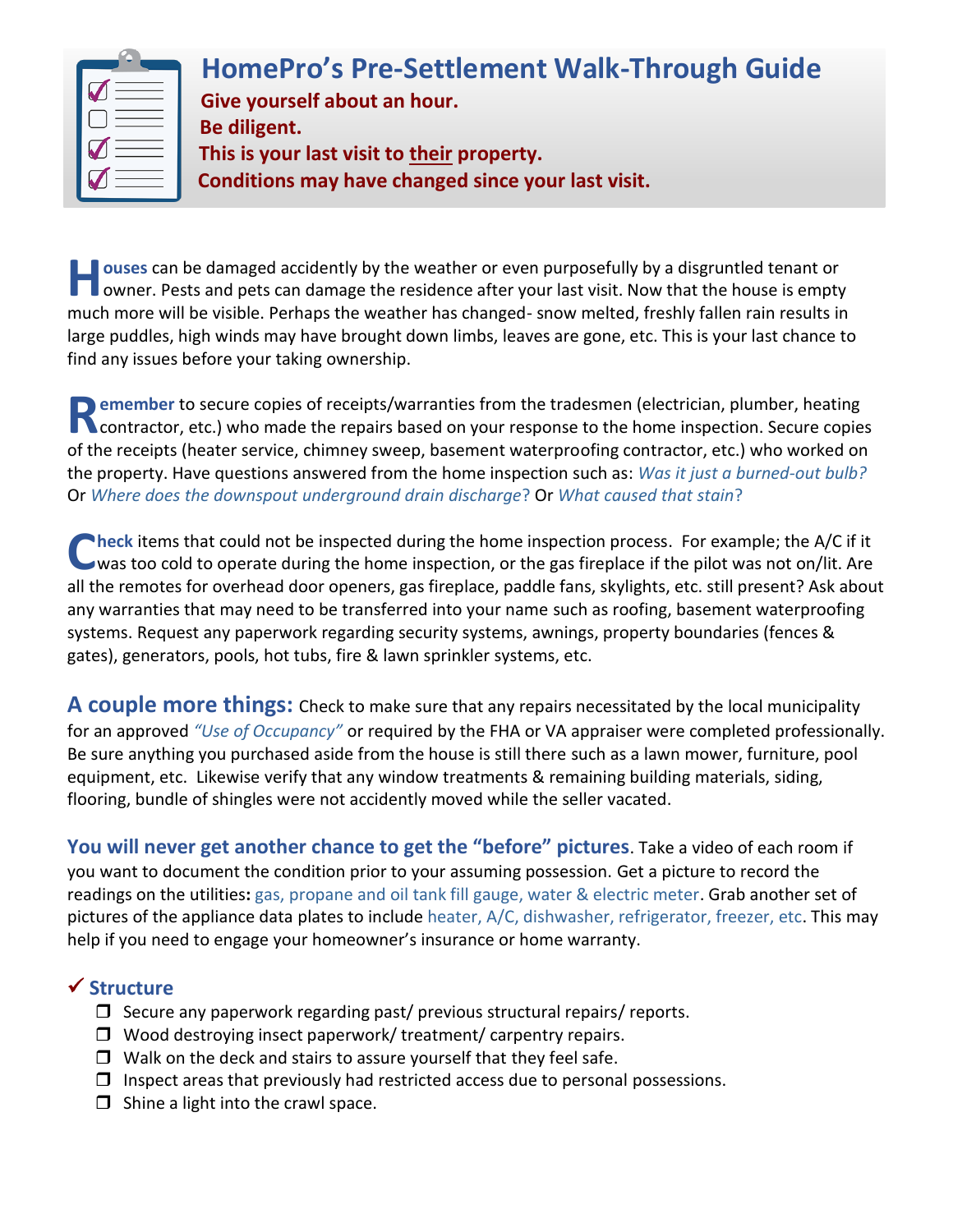| I V | <b>HomePro's Pre-Settlement Walk-Through Guide</b><br>Give yourself about an hour.<br>Be diligent.<br>This is your last visit to their property.<br>Conditions may have changed since your last visit. |
|-----|--------------------------------------------------------------------------------------------------------------------------------------------------------------------------------------------------------|
|-----|--------------------------------------------------------------------------------------------------------------------------------------------------------------------------------------------------------|

**ouses** can be damaged accidently by the weather or even purposefully by a disgruntled tenant or **Fouses** can be damaged accidently by the weather or even purposefully by a disgruntled tenant or<br>
owner. Pests and pets can damage the residence after your last visit. Now that the house is empty much more will be visible. Perhaps the weather has changed- snow melted, freshly fallen rain results in large puddles, high winds may have brought down limbs, leaves are gone, etc. This is your last chance to find any issues before your taking ownership.

**Exampler** to secure copies of receipts/warranties from the tradesmen (electrician, plumber, heating **Remember** to secure copies of receipts/warranties from the tradesmen (electrician, plumber, heating<br> **Remember** to secure copies<br> **Remember of the material way in the repairs based on your response to the home inspection.** of the receipts (heater service, chimney sweep, basement waterproofing contractor, etc.) who worked on the property. Have questions answered from the home inspection such as: *Was it just a burned-out bulb?* Or *Where does the downspout underground drain discharge*? Or *What caused that stain*?

**heck** items that could not be inspected during the home inspection process. For example; the A/C if it **Check** items that could not be inspected during the home inspection process. For example; the A/C if it was too cold to operate during the home inspection, or the gas fireplace if the pilot was not on/lit. Are all the remotes for overhead door openers, gas fireplace, paddle fans, skylights, etc. still present? Ask about any warranties that may need to be transferred into your name such as roofing, basement waterproofing systems. Request any paperwork regarding security systems, awnings, property boundaries (fences & gates), generators, pools, hot tubs, fire & lawn sprinkler systems, etc.

**A couple more things:** Check to make sure that any repairs necessitated by the local municipality for an approved *"Use of Occupancy"* or required by the FHA or VA appraiser were completed professionally. Be sure anything you purchased aside from the house is still there such as a lawn mower, furniture, pool equipment, etc. Likewise verify that any window treatments & remaining building materials, siding, flooring, bundle of shingles were not accidently moved while the seller vacated.

**You will never get another chance to get the "before" pictures**. Take a video of each room if you want to document the condition prior to your assuming possession. Get a picture to record the readings on the utilities**:** gas, propane and oil tank fill gauge, water & electric meter. Grab another set of pictures of the appliance data plates to include heater, A/C, dishwasher, refrigerator, freezer, etc. This may help if you need to engage your homeowner's insurance or home warranty.

#### ✓ **Structure**

- $\Box$  Secure any paperwork regarding past/ previous structural repairs/ reports.
- $\Box$  Wood destroying insect paperwork/ treatment/ carpentry repairs.
- $\Box$  Walk on the deck and stairs to assure yourself that they feel safe.
- $\Box$  Inspect areas that previously had restricted access due to personal possessions.
- $\Box$  Shine a light into the crawl space.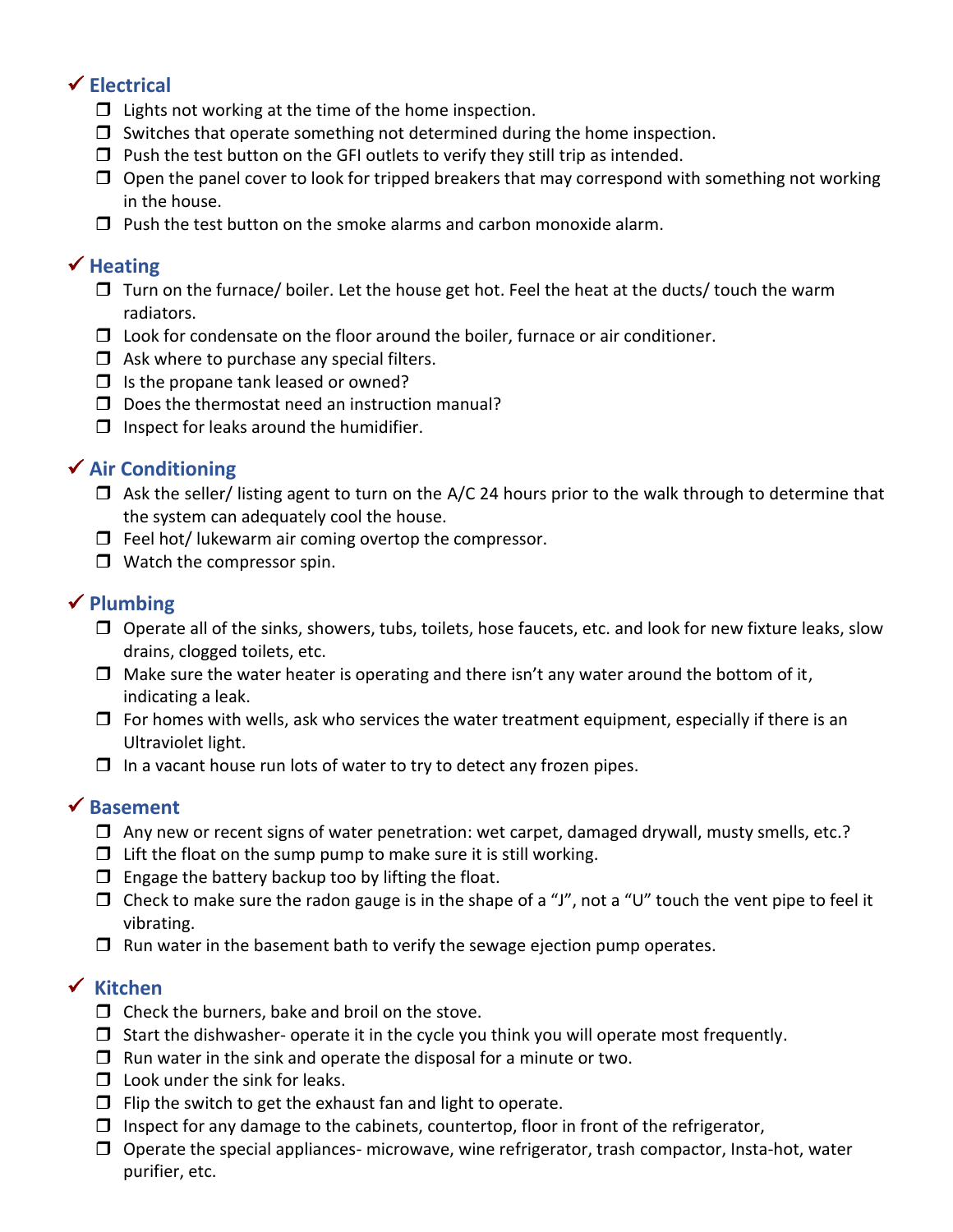# ✓ **Electrical**

- $\Box$  Lights not working at the time of the home inspection.
- $\Box$  Switches that operate something not determined during the home inspection.
- $\Box$  Push the test button on the GFI outlets to verify they still trip as intended.
- $\Box$  Open the panel cover to look for tripped breakers that may correspond with something not working in the house.
- $\Box$  Push the test button on the smoke alarms and carbon monoxide alarm.

#### ✓ **Heating**

- $\Box$  Turn on the furnace/ boiler. Let the house get hot. Feel the heat at the ducts/ touch the warm radiators.
- $\Box$  Look for condensate on the floor around the boiler, furnace or air conditioner.
- $\Box$  Ask where to purchase any special filters.
- $\Box$  Is the propane tank leased or owned?
- $\square$  Does the thermostat need an instruction manual?
- $\Box$  Inspect for leaks around the humidifier.

### ✓ **Air Conditioning**

- $\Box$  Ask the seller/ listing agent to turn on the A/C 24 hours prior to the walk through to determine that the system can adequately cool the house.
- $\Box$  Feel hot/ lukewarm air coming overtop the compressor.
- $\Box$  Watch the compressor spin.

### ✓ **Plumbing**

- $\Box$  Operate all of the sinks, showers, tubs, toilets, hose faucets, etc. and look for new fixture leaks, slow drains, clogged toilets, etc.
- $\Box$  Make sure the water heater is operating and there isn't any water around the bottom of it, indicating a leak.
- $\Box$  For homes with wells, ask who services the water treatment equipment, especially if there is an Ultraviolet light.
- $\Box$  In a vacant house run lots of water to try to detect any frozen pipes.

### ✓ **Basement**

- $\Box$  Any new or recent signs of water penetration: wet carpet, damaged drywall, musty smells, etc.?
- $\Box$  Lift the float on the sump pump to make sure it is still working.
- $\square$  Engage the battery backup too by lifting the float.
- $\Box$  Check to make sure the radon gauge is in the shape of a "J", not a "U" touch the vent pipe to feel it vibrating.
- $\Box$  Run water in the basement bath to verify the sewage ejection pump operates.

### ✓ **Kitchen**

- $\Box$  Check the burners, bake and broil on the stove.
- $\Box$  Start the dishwasher- operate it in the cycle you think you will operate most frequently.
- $\Box$  Run water in the sink and operate the disposal for a minute or two.
- $\Box$  Look under the sink for leaks.
- $\Box$  Flip the switch to get the exhaust fan and light to operate.
- $\Box$  Inspect for any damage to the cabinets, countertop, floor in front of the refrigerator,
- $\Box$  Operate the special appliances- microwave, wine refrigerator, trash compactor, Insta-hot, water purifier, etc.